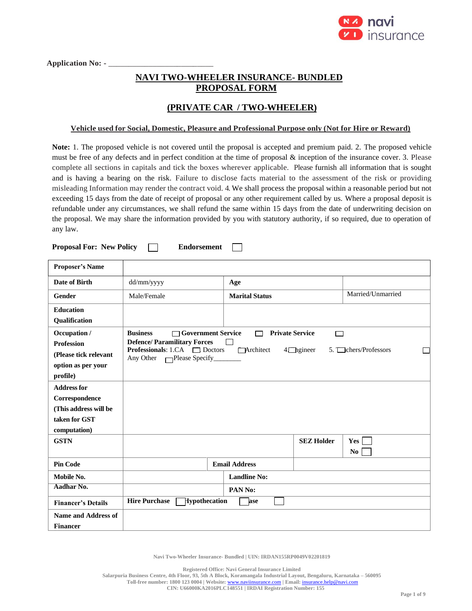

Application No: - \_

# **NAVI TWO-WHEELER INSURANCE- BUNDLED PROPOSAL FORM**

## **(PRIVATE CAR / TWO-WHEELER)**

#### **Vehicle used for Social, Domestic, Pleasure and Professional Purpose only (Not for Hire or Reward)**

**Note:** 1. The proposed vehicle is not covered until the proposal is accepted and premium paid. 2. The proposed vehicle must be free of any defects and in perfect condition at the time of proposal & inception of the insurance cover. 3. Please complete all sections in capitals and tick the boxes wherever applicable. Please furnish all information that is sought and is having a bearing on the risk. Failure to disclose facts material to the assessment of the risk or providing misleading Information may render the contract void. 4. We shall process the proposal within a reasonable period but not exceeding 15 days from the date of receipt of proposal or any other requirement called by us. Where a proposal deposit is refundable under any circumstances, we shall refund the same within 15 days from the date of underwriting decision on the proposal. We may share the information provided by you with statutory authority, if so required, due to operation of any law.

**Proposal For: New Policy Endorsement**  $\Box$ 

| <b>Proposer's Name</b>                                     |                                                                                                                            |                      |                                            |                   |                     |
|------------------------------------------------------------|----------------------------------------------------------------------------------------------------------------------------|----------------------|--------------------------------------------|-------------------|---------------------|
| Date of Birth                                              | dd/mm/yyyy                                                                                                                 | Age                  |                                            |                   |                     |
| <b>Gender</b>                                              | Male/Female                                                                                                                |                      | <b>Marital Status</b>                      |                   | Married/Unmarried   |
| <b>Education</b>                                           |                                                                                                                            |                      |                                            |                   |                     |
| Qualification                                              |                                                                                                                            |                      |                                            |                   |                     |
| Occupation /<br><b>Profession</b><br>(Please tick relevant | <b>Business</b><br>□ Government Service<br><b>Defence/Paramilitary Forces</b><br><b>Professionals:</b> 1.CA $\Box$ Doctors |                      | <b>Private Service</b><br>┌─┐<br>Architect | ┌<br>$4$ hgineer  | 5. Chers/Professors |
|                                                            | Any Other $\Box$ Please Specify                                                                                            |                      |                                            |                   |                     |
| option as per your<br>profile)                             |                                                                                                                            |                      |                                            |                   |                     |
| <b>Address for</b>                                         |                                                                                                                            |                      |                                            |                   |                     |
| Correspondence                                             |                                                                                                                            |                      |                                            |                   |                     |
| (This address will be                                      |                                                                                                                            |                      |                                            |                   |                     |
| taken for GST                                              |                                                                                                                            |                      |                                            |                   |                     |
| computation)                                               |                                                                                                                            |                      |                                            |                   |                     |
| <b>GSTN</b>                                                |                                                                                                                            |                      |                                            | <b>SEZ Holder</b> | Yes                 |
|                                                            |                                                                                                                            |                      |                                            |                   | N <sub>0</sub>      |
| <b>Pin Code</b>                                            |                                                                                                                            | <b>Email Address</b> |                                            |                   |                     |
| Mobile No.                                                 |                                                                                                                            |                      | <b>Landline No:</b>                        |                   |                     |
| Aadhar No.                                                 |                                                                                                                            | PAN No:              |                                            |                   |                     |
| <b>Financer's Details</b>                                  | <b>Hire Purchase</b><br>Hypothecation                                                                                      |                      | ase                                        |                   |                     |
| <b>Name and Address of</b><br><b>Financer</b>              |                                                                                                                            |                      |                                            |                   |                     |

**Navi Two-Wheeler Insurance- Bundled | UIN: IRDAN155RP0049V02201819**

**Registered Office: Navi General Insurance Limited**

**Toll-free number: 1800 123 0004 | Website:** [www.naviinsurance.com](http://www.naviinsurance.com/) **| Email:** [insurance.help@navi.com](mailto:insurance.help@navi.com)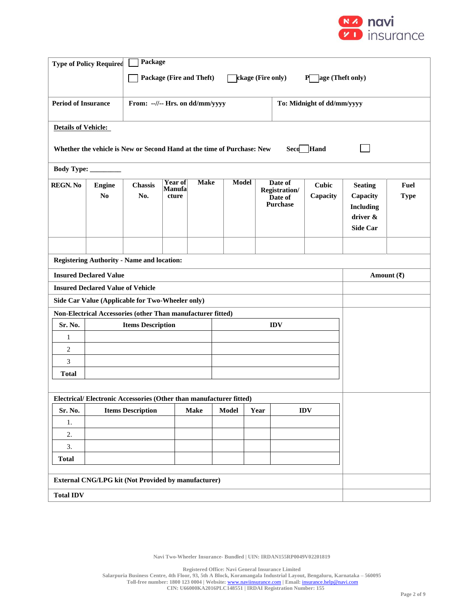

|                            | Package<br><b>Type of Policy Required</b>           |                                                                                |                                          |             |              |      |                                                               |                          |                                                            |                            |
|----------------------------|-----------------------------------------------------|--------------------------------------------------------------------------------|------------------------------------------|-------------|--------------|------|---------------------------------------------------------------|--------------------------|------------------------------------------------------------|----------------------------|
|                            |                                                     | Package (Fire and Theft)<br><b>ckage (Fire only)</b><br>age (Theft only)<br>P. |                                          |             |              |      |                                                               |                          |                                                            |                            |
|                            |                                                     |                                                                                |                                          |             |              |      |                                                               |                          |                                                            |                            |
| <b>Period of Insurance</b> |                                                     | From: --//-- Hrs. on dd/mm/yyyy<br>To: Midnight of dd/mm/yyyy                  |                                          |             |              |      |                                                               |                          |                                                            |                            |
|                            |                                                     |                                                                                |                                          |             |              |      |                                                               |                          |                                                            |                            |
| <b>Details of Vehicle:</b> |                                                     |                                                                                |                                          |             |              |      |                                                               |                          |                                                            |                            |
|                            |                                                     | Whether the vehicle is New or Second Hand at the time of Purchase: New         |                                          |             |              |      | Seco                                                          | Hand                     |                                                            |                            |
|                            | Body Type: ________                                 |                                                                                |                                          |             |              |      |                                                               |                          |                                                            |                            |
| <b>REGN. No</b>            | <b>Engine</b><br>N <sub>0</sub>                     | Chassis<br>No.                                                                 | <b>Year of</b><br><b>Manufa</b><br>cture | <b>Make</b> | <b>Model</b> |      | Date of<br><b>Registration/</b><br>Date of<br><b>Purchase</b> | <b>Cubic</b><br>Capacity | <b>Seating</b><br>Capacity<br><b>Including</b><br>driver & | <b>Fuel</b><br><b>Type</b> |
|                            |                                                     |                                                                                |                                          |             |              |      |                                                               |                          | <b>Side Car</b>                                            |                            |
|                            |                                                     |                                                                                |                                          |             |              |      |                                                               |                          |                                                            |                            |
|                            |                                                     | <b>Registering Authority - Name and location:</b>                              |                                          |             |              |      |                                                               |                          |                                                            |                            |
|                            | <b>Insured Declared Value</b>                       |                                                                                |                                          |             |              |      |                                                               |                          | Amount $(\bar{\mathbf{z}})$                                |                            |
|                            | <b>Insured Declared Value of Vehicle</b>            |                                                                                |                                          |             |              |      |                                                               |                          |                                                            |                            |
|                            |                                                     | Side Car Value (Applicable for Two-Wheeler only)                               |                                          |             |              |      |                                                               |                          |                                                            |                            |
|                            |                                                     | Non-Electrical Accessories (other Than manufacturer fitted)                    |                                          |             |              |      |                                                               |                          |                                                            |                            |
| Sr. No.                    |                                                     | <b>Items Description</b>                                                       |                                          |             |              |      | <b>IDV</b>                                                    |                          |                                                            |                            |
| 1<br>$\sqrt{2}$            |                                                     |                                                                                |                                          |             |              |      |                                                               |                          |                                                            |                            |
| 3                          |                                                     |                                                                                |                                          |             |              |      |                                                               |                          |                                                            |                            |
| <b>Total</b>               |                                                     |                                                                                |                                          |             |              |      |                                                               |                          |                                                            |                            |
|                            |                                                     |                                                                                |                                          |             |              |      |                                                               |                          |                                                            |                            |
|                            |                                                     | Electrical/Electronic Accessories (Other than manufacturer fitted)             |                                          |             |              |      |                                                               |                          |                                                            |                            |
| Sr. No.                    |                                                     | <b>Items Description</b>                                                       |                                          | <b>Make</b> | <b>Model</b> | Year |                                                               | <b>IDV</b>               |                                                            |                            |
| 1.                         |                                                     |                                                                                |                                          |             |              |      |                                                               |                          |                                                            |                            |
|                            | 2.                                                  |                                                                                |                                          |             |              |      |                                                               |                          |                                                            |                            |
| <b>Total</b>               | 3.                                                  |                                                                                |                                          |             |              |      |                                                               |                          |                                                            |                            |
|                            |                                                     |                                                                                |                                          |             |              |      |                                                               |                          |                                                            |                            |
|                            | External CNG/LPG kit (Not Provided by manufacturer) |                                                                                |                                          |             |              |      |                                                               |                          |                                                            |                            |
| <b>Total IDV</b>           |                                                     |                                                                                |                                          |             |              |      |                                                               |                          |                                                            |                            |

**Navi Two-Wheeler Insurance- Bundled | UIN: IRDAN155RP0049V02201819**

**Registered Office: Navi General Insurance Limited**

**Salarpuria Business Centre, 4th Floor, 93, 5th A Block, Koramangala Industrial Layout, Bengaluru, Karnataka – 560095**

**Toll-free number: 1800 123 0004 | Website:** [www.naviinsurance.com](http://www.naviinsurance.com/) **| Email:** [insurance.help@navi.com](mailto:insurance.help@navi.com)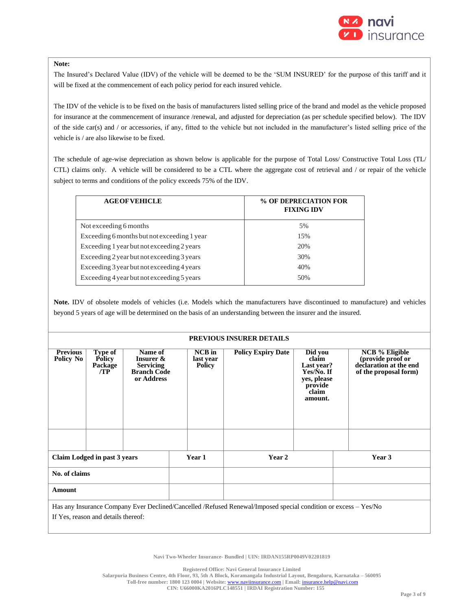

#### **Note:**

The Insured's Declared Value (IDV) of the vehicle will be deemed to be the 'SUM INSURED' for the purpose of this tariff and it will be fixed at the commencement of each policy period for each insured vehicle.

The IDV of the vehicle is to be fixed on the basis of manufacturers listed selling price of the brand and model as the vehicle proposed for insurance at the commencement of insurance /renewal, and adjusted for depreciation (as per schedule specified below). The IDV of the side car(s) and / or accessories, if any, fitted to the vehicle but not included in the manufacturer's listed selling price of the vehicle is / are also likewise to be fixed.

The schedule of age-wise depreciation as shown below is applicable for the purpose of Total Loss/ Constructive Total Loss (TL/ CTL) claims only. A vehicle will be considered to be a CTL where the aggregate cost of retrieval and / or repair of the vehicle subject to terms and conditions of the policy exceeds 75% of the IDV.

| <b>AGE OF VEHICLE</b>                       | % OF DEPRECIATION FOR<br><b>FIXING IDV</b> |
|---------------------------------------------|--------------------------------------------|
| Not exceeding 6 months                      | 5%                                         |
| Exceeding 6 months but not exceeding 1 year | 1.5%                                       |
| Exceeding 1 year but not exceeding 2 years  | 20%                                        |
| Exceeding 2 year but not exceeding 3 years  | 30%                                        |
| Exceeding 3 year but not exceeding 4 years  | 40%                                        |
| Exceeding 4 year but not exceeding 5 years  | 50%                                        |
|                                             |                                            |

**Note.** IDV of obsolete models of vehicles (i.e. Models which the manufacturers have discontinued to manufacture) and vehicles beyond 5 years of age will be determined on the basis of an understanding between the insurer and the insured.

#### **PREVIOUS INSURER DETAILS**

| <b>Previous</b>                                                                                                 | Type of                             | <b>Name of</b>                         |  | NCB in        | <b>Policy Expiry Date</b> | Did you                  | <b>NCB</b> % Eligible                           |
|-----------------------------------------------------------------------------------------------------------------|-------------------------------------|----------------------------------------|--|---------------|---------------------------|--------------------------|-------------------------------------------------|
| Policy No                                                                                                       | <b>Policy</b>                       | Insurer &                              |  | last year     |                           | claim                    | (provide proof or                               |
|                                                                                                                 | Package<br>/TP                      | <b>Servicing</b><br><b>Branch Code</b> |  | <b>Policy</b> |                           | Last year?<br>Yes/No. If | declaration at the end<br>of the proposal form) |
|                                                                                                                 |                                     | or Address                             |  |               |                           | yes, please              |                                                 |
|                                                                                                                 |                                     |                                        |  |               |                           | provide                  |                                                 |
|                                                                                                                 |                                     |                                        |  |               |                           | claim<br>amount.         |                                                 |
|                                                                                                                 |                                     |                                        |  |               |                           |                          |                                                 |
|                                                                                                                 |                                     |                                        |  |               |                           |                          |                                                 |
|                                                                                                                 |                                     |                                        |  |               |                           |                          |                                                 |
|                                                                                                                 |                                     |                                        |  |               |                           |                          |                                                 |
|                                                                                                                 |                                     |                                        |  |               |                           |                          |                                                 |
| Claim Lodged in past 3 years                                                                                    |                                     | <b>Year 1</b>                          |  | Year 2        |                           | Year 3                   |                                                 |
|                                                                                                                 |                                     |                                        |  |               |                           |                          |                                                 |
| No. of claims                                                                                                   |                                     |                                        |  |               |                           |                          |                                                 |
| Amount                                                                                                          |                                     |                                        |  |               |                           |                          |                                                 |
| Has any Insurance Company Ever Declined/Cancelled /Refused Renewal/Imposed special condition or excess – Yes/No |                                     |                                        |  |               |                           |                          |                                                 |
|                                                                                                                 | If Yes, reason and details thereof: |                                        |  |               |                           |                          |                                                 |
|                                                                                                                 |                                     |                                        |  |               |                           |                          |                                                 |

**Navi Two-Wheeler Insurance- Bundled | UIN: IRDAN155RP0049V02201819**

**Registered Office: Navi General Insurance Limited**

**Salarpuria Business Centre, 4th Floor, 93, 5th A Block, Koramangala Industrial Layout, Bengaluru, Karnataka – 560095**

**Toll-free number: 1800 123 0004 | Website:** [www.naviinsurance.com](http://www.naviinsurance.com/) **| Email:** [insurance.help@navi.com](mailto:insurance.help@navi.com)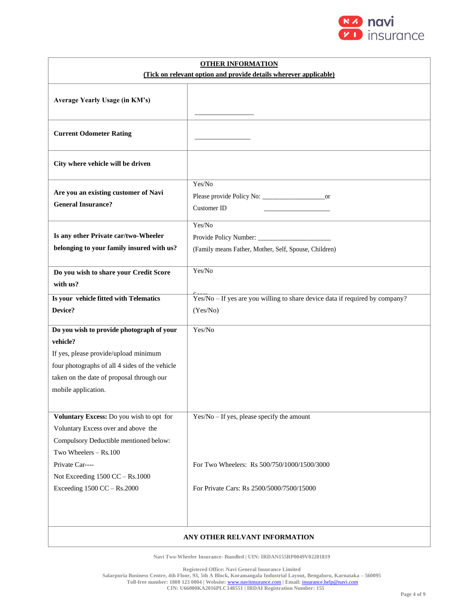

| <b>OTHER INFORMATION</b><br>(Tick on relevant option and provide details wherever applicable)                                                                                                                        |                                                                                             |  |  |  |
|----------------------------------------------------------------------------------------------------------------------------------------------------------------------------------------------------------------------|---------------------------------------------------------------------------------------------|--|--|--|
| Average Yearly Usage (in KM's)                                                                                                                                                                                       |                                                                                             |  |  |  |
| <b>Current Odometer Rating</b>                                                                                                                                                                                       |                                                                                             |  |  |  |
| City where vehicle will be driven                                                                                                                                                                                    |                                                                                             |  |  |  |
| Are you an existing customer of Navi<br><b>General Insurance?</b>                                                                                                                                                    | Yes/No<br>or<br>Customer ID                                                                 |  |  |  |
| Is any other Private car/two-Wheeler<br>belonging to your family insured with us?                                                                                                                                    | Yes/No<br>(Family means Father, Mother, Self, Spouse, Children)                             |  |  |  |
| Do you wish to share your Credit Score<br>with us?                                                                                                                                                                   | Yes/No                                                                                      |  |  |  |
| Is your vehicle fitted with Telematics<br>Device?                                                                                                                                                                    | Yes/No - If yes are you willing to share device data if required by company?<br>(Yes/No)    |  |  |  |
| Do you wish to provide photograph of your<br>vehicle?<br>If yes, please provide/upload minimum<br>four photographs of all 4 sides of the vehicle<br>taken on the date of proposal through our<br>mobile application. | Yes/No                                                                                      |  |  |  |
| Voluntary Excess: Do you wish to opt for<br>Voluntary Excess over and above the<br>Compulsory Deductible mentioned below:<br>Two Wheelers - Rs.100<br>Private Car----                                                | $Yes/No - If yes, please specify the amount$<br>For Two Wheelers: Rs 500/750/1000/1500/3000 |  |  |  |
| Not Exceeding 1500 CC - Rs.1000<br>Exceeding 1500 CC - Rs.2000                                                                                                                                                       | For Private Cars: Rs 2500/5000/7500/15000                                                   |  |  |  |
| ANY OTHER RELVANT INFORMATION                                                                                                                                                                                        |                                                                                             |  |  |  |

**Navi Two-Wheeler Insurance- Bundled | UIN: IRDAN155RP0049V02201819**

**Registered Office: Navi General Insurance Limited**

 $\mathbf{I}$ 

**Salarpuria Business Centre, 4th Floor, 93, 5th A Block, Koramangala Industrial Layout, Bengaluru, Karnataka – 560095**

**Toll-free number: 1800 123 0004 | Website:** [www.naviinsurance.com](http://www.naviinsurance.com/) **| Email:** [insurance.help@navi.com](mailto:insurance.help@navi.com)

**CIN: U66000KA2016PLC148551 | IRDAI Registration Number: 155**

۰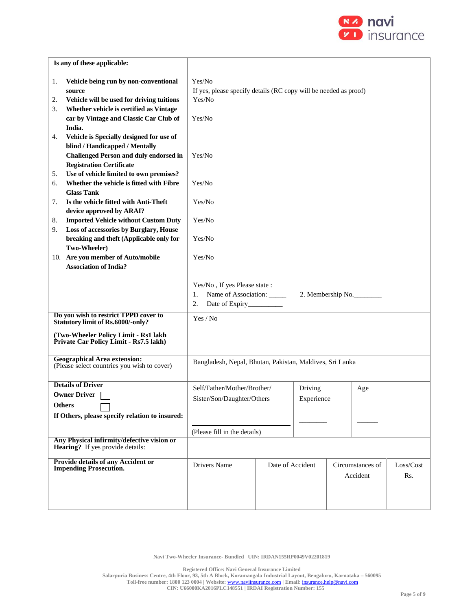

| Is any of these applicable:   |                                                                                       |                                                                  |                  |            |                   |                  |           |  |  |
|-------------------------------|---------------------------------------------------------------------------------------|------------------------------------------------------------------|------------------|------------|-------------------|------------------|-----------|--|--|
| 1.                            | Vehicle being run by non-conventional                                                 | Yes/No                                                           |                  |            |                   |                  |           |  |  |
| source                        |                                                                                       | If yes, please specify details (RC copy will be needed as proof) |                  |            |                   |                  |           |  |  |
| 2.                            | Vehicle will be used for driving tuitions                                             | Yes/No                                                           |                  |            |                   |                  |           |  |  |
| 3.                            | Whether vehicle is certified as Vintage                                               |                                                                  |                  |            |                   |                  |           |  |  |
|                               | car by Vintage and Classic Car Club of                                                | Yes/No                                                           |                  |            |                   |                  |           |  |  |
| India.                        |                                                                                       |                                                                  |                  |            |                   |                  |           |  |  |
| 4.                            | Vehicle is Specially designed for use of                                              |                                                                  |                  |            |                   |                  |           |  |  |
|                               | blind / Handicapped / Mentally                                                        |                                                                  |                  |            |                   |                  |           |  |  |
|                               | <b>Challenged Person and duly endorsed in</b>                                         | Yes/No                                                           |                  |            |                   |                  |           |  |  |
|                               | <b>Registration Certificate</b>                                                       |                                                                  |                  |            |                   |                  |           |  |  |
| 5.                            | Use of vehicle limited to own premises?                                               |                                                                  |                  |            |                   |                  |           |  |  |
| 6.<br><b>Glass Tank</b>       | Whether the vehicle is fitted with Fibre                                              | Yes/No                                                           |                  |            |                   |                  |           |  |  |
| 7.                            | Is the vehicle fitted with Anti-Theft                                                 | Yes/No                                                           |                  |            |                   |                  |           |  |  |
|                               | device approved by ARAI?                                                              |                                                                  |                  |            |                   |                  |           |  |  |
| 8.                            | <b>Imported Vehicle without Custom Duty</b>                                           | Yes/No                                                           |                  |            |                   |                  |           |  |  |
| 9.                            | Loss of accessories by Burglary, House                                                |                                                                  |                  |            |                   |                  |           |  |  |
|                               | breaking and theft (Applicable only for                                               | Yes/No                                                           |                  |            |                   |                  |           |  |  |
| Two-Wheeler)                  |                                                                                       |                                                                  |                  |            |                   |                  |           |  |  |
|                               | 10. Are you member of Auto/mobile                                                     | Yes/No                                                           |                  |            |                   |                  |           |  |  |
|                               | <b>Association of India?</b>                                                          |                                                                  |                  |            |                   |                  |           |  |  |
|                               |                                                                                       |                                                                  |                  |            |                   |                  |           |  |  |
|                               |                                                                                       | Yes/No, If yes Please state:                                     |                  |            |                   |                  |           |  |  |
|                               |                                                                                       | Name of Association: _____<br>1.                                 |                  |            | 2. Membership No. |                  |           |  |  |
|                               |                                                                                       | 2.                                                               |                  |            |                   |                  |           |  |  |
|                               | Do you wish to restrict TPPD cover to<br><b>Statutory limit of Rs.6000/-only?</b>     | Yes / No                                                         |                  |            |                   |                  |           |  |  |
|                               | (Two-Wheeler Policy Limit - Rs1 lakh                                                  |                                                                  |                  |            |                   |                  |           |  |  |
|                               | Private Car Policy Limit - Rs7.5 lakh)                                                |                                                                  |                  |            |                   |                  |           |  |  |
|                               |                                                                                       |                                                                  |                  |            |                   |                  |           |  |  |
|                               | <b>Geographical Area extension:</b><br>(Please select countries you wish to cover)    | Bangladesh, Nepal, Bhutan, Pakistan, Maldives, Sri Lanka         |                  |            |                   |                  |           |  |  |
|                               |                                                                                       |                                                                  |                  |            |                   |                  |           |  |  |
| <b>Details of Driver</b>      |                                                                                       | Self/Father/Mother/Brother/                                      |                  | Driving    |                   |                  |           |  |  |
| <b>Owner Driver</b>           |                                                                                       |                                                                  |                  |            |                   | Age              |           |  |  |
| Others                        |                                                                                       | Sister/Son/Daughter/Others                                       |                  | Experience |                   |                  |           |  |  |
|                               | If Others, please specify relation to insured:                                        |                                                                  |                  |            |                   |                  |           |  |  |
|                               |                                                                                       |                                                                  |                  |            |                   |                  |           |  |  |
|                               |                                                                                       | (Please fill in the details)                                     |                  |            |                   |                  |           |  |  |
|                               | Any Physical infirmity/defective vision or<br><b>Hearing?</b> If yes provide details: |                                                                  |                  |            |                   |                  |           |  |  |
|                               | Provide details of any Accident or                                                    |                                                                  |                  |            |                   |                  |           |  |  |
| <b>Impending Prosecution.</b> |                                                                                       | Drivers Name                                                     | Date of Accident |            |                   | Circumstances of | Loss/Cost |  |  |
|                               |                                                                                       |                                                                  |                  |            |                   | Accident         | Rs.       |  |  |
|                               |                                                                                       |                                                                  |                  |            |                   |                  |           |  |  |
|                               |                                                                                       |                                                                  |                  |            |                   |                  |           |  |  |
|                               |                                                                                       |                                                                  |                  |            |                   |                  |           |  |  |

**Registered Office: Navi General Insurance Limited**

**Salarpuria Business Centre, 4th Floor, 93, 5th A Block, Koramangala Industrial Layout, Bengaluru, Karnataka – 560095**

**Toll-free number: 1800 123 0004 | Website:** [www.naviinsurance.com](http://www.naviinsurance.com/) **| Email:** [insurance.help@navi.com](mailto:insurance.help@navi.com)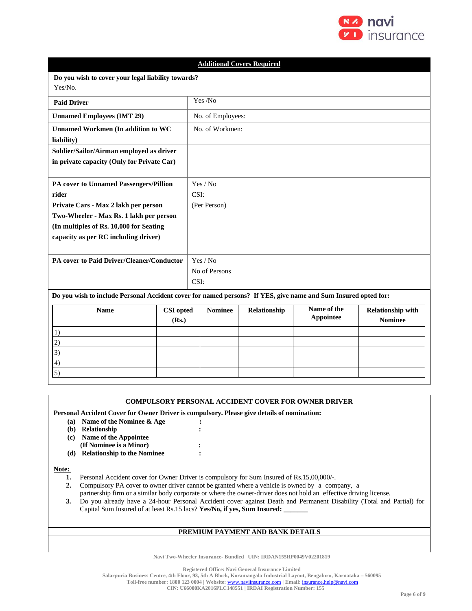

|                                                                                                                                                                                                                       | <b>Additional Covers Required</b> |                                   |                                  |              |                                 |                                            |  |  |
|-----------------------------------------------------------------------------------------------------------------------------------------------------------------------------------------------------------------------|-----------------------------------|-----------------------------------|----------------------------------|--------------|---------------------------------|--------------------------------------------|--|--|
| Do you wish to cover your legal liability towards?<br>Yes/No.                                                                                                                                                         |                                   |                                   |                                  |              |                                 |                                            |  |  |
| <b>Paid Driver</b>                                                                                                                                                                                                    |                                   |                                   | Yes /No                          |              |                                 |                                            |  |  |
| <b>Unnamed Employees (IMT 29)</b>                                                                                                                                                                                     |                                   |                                   | No. of Employees:                |              |                                 |                                            |  |  |
| <b>Unnamed Workmen (In addition to WC</b><br>liability)                                                                                                                                                               |                                   |                                   | No. of Workmen:                  |              |                                 |                                            |  |  |
| Soldier/Sailor/Airman employed as driver<br>in private capacity (Only for Private Car)                                                                                                                                |                                   |                                   |                                  |              |                                 |                                            |  |  |
| PA cover to Unnamed Passengers/Pillion<br>rider<br>Private Cars - Max 2 lakh per person<br>Two-Wheeler - Max Rs. 1 lakh per person<br>(In multiples of Rs. 10,000 for Seating<br>capacity as per RC including driver) |                                   |                                   | Yes / No<br>CSI:<br>(Per Person) |              |                                 |                                            |  |  |
| PA cover to Paid Driver/Cleaner/Conductor                                                                                                                                                                             |                                   | Yes / No<br>No of Persons<br>CSI: |                                  |              |                                 |                                            |  |  |
| Do you wish to include Personal Accident cover for named persons? If YES, give name and Sum Insured opted for:                                                                                                        |                                   |                                   |                                  |              |                                 |                                            |  |  |
| <b>Name</b><br>1)                                                                                                                                                                                                     | <b>CSI</b> opted<br>(Rs.)         |                                   | <b>Nominee</b>                   | Relationship | Name of the<br><b>Appointee</b> | <b>Relationship with</b><br><b>Nominee</b> |  |  |
| 2)<br>3)                                                                                                                                                                                                              |                                   |                                   |                                  |              |                                 |                                            |  |  |
| 4)<br>5)                                                                                                                                                                                                              |                                   |                                   |                                  |              |                                 |                                            |  |  |

| <b>COMPULSORY PERSONAL ACCIDENT COVER FOR OWNER DRIVER</b>                                 |                                                                                                                    |                                                                                                                      |  |  |  |  |
|--------------------------------------------------------------------------------------------|--------------------------------------------------------------------------------------------------------------------|----------------------------------------------------------------------------------------------------------------------|--|--|--|--|
| Personal Accident Cover for Owner Driver is compulsory. Please give details of nomination: |                                                                                                                    |                                                                                                                      |  |  |  |  |
| (a)                                                                                        | Name of the Nominee & Age                                                                                          |                                                                                                                      |  |  |  |  |
| (b)                                                                                        | Relationship                                                                                                       |                                                                                                                      |  |  |  |  |
| (c)                                                                                        | Name of the Appointee                                                                                              |                                                                                                                      |  |  |  |  |
|                                                                                            | (If Nominee is a Minor)                                                                                            |                                                                                                                      |  |  |  |  |
| (d)                                                                                        | <b>Relationship to the Nominee</b>                                                                                 |                                                                                                                      |  |  |  |  |
| Note:                                                                                      |                                                                                                                    |                                                                                                                      |  |  |  |  |
|                                                                                            | Personal Accident cover for Owner Driver is compulsory for Sum Insured of Rs.15,00,000/-.                          |                                                                                                                      |  |  |  |  |
| 2.                                                                                         | Compulsory PA cover to owner driver cannot be granted where a vehicle is owned by a company, a                     |                                                                                                                      |  |  |  |  |
|                                                                                            | partnership firm or a similar body corporate or where the owner-driver does not hold an effective driving license. |                                                                                                                      |  |  |  |  |
| 3.                                                                                         |                                                                                                                    | Do you already have a 24-hour Personal Accident cover against Death and Permanent Disability (Total and Partial) for |  |  |  |  |
|                                                                                            | Capital Sum Insured of at least Rs.15 lacs? Yes/No, if yes, Sum Insured:                                           |                                                                                                                      |  |  |  |  |

## **PREMIUM PAYMENT AND BANK DETAILS**

**Navi Two-Wheeler Insurance- Bundled | UIN: IRDAN155RP0049V02201819**

**Registered Office: Navi General Insurance Limited**

**Salarpuria Business Centre, 4th Floor, 93, 5th A Block, Koramangala Industrial Layout, Bengaluru, Karnataka – 560095**

**Toll-free number: 1800 123 0004 | Website:** [www.naviinsurance.com](http://www.naviinsurance.com/) **| Email:** [insurance.help@navi.com](mailto:insurance.help@navi.com)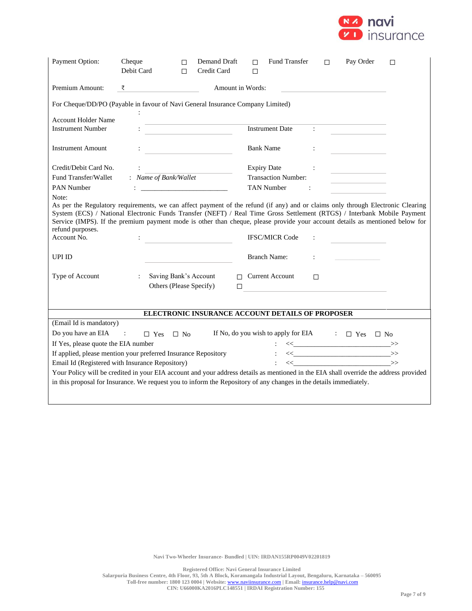

| Payment Option:                                                                                                                                                                                                                                              | Cheque<br>Debit Card                            | П<br>П | Demand Draft<br>Credit Card                                                                                                                                                                                                         | п<br>П           | Fund Transfer                                    | П                    | Pay Order                                    | $\Box$ |
|--------------------------------------------------------------------------------------------------------------------------------------------------------------------------------------------------------------------------------------------------------------|-------------------------------------------------|--------|-------------------------------------------------------------------------------------------------------------------------------------------------------------------------------------------------------------------------------------|------------------|--------------------------------------------------|----------------------|----------------------------------------------|--------|
| Premium Amount:                                                                                                                                                                                                                                              | ₹                                               |        |                                                                                                                                                                                                                                     | Amount in Words: |                                                  |                      |                                              |        |
| For Cheque/DD/PO (Payable in favour of Navi General Insurance Company Limited)<br>÷                                                                                                                                                                          |                                                 |        |                                                                                                                                                                                                                                     |                  |                                                  |                      |                                              |        |
| <b>Account Holder Name</b><br><b>Instrument Number</b>                                                                                                                                                                                                       |                                                 |        |                                                                                                                                                                                                                                     |                  | <b>Instrument Date</b>                           | <b>Contractor</b>    |                                              |        |
| <b>Instrument Amount</b>                                                                                                                                                                                                                                     |                                                 |        |                                                                                                                                                                                                                                     |                  | <b>Bank Name</b>                                 | $\ddot{\phantom{a}}$ |                                              |        |
| Credit/Debit Card No.<br>Fund Transfer/Wallet                                                                                                                                                                                                                | $\ddot{\phantom{a}}$<br>: Name of Bank/Wallet   |        |                                                                                                                                                                                                                                     |                  | <b>Expiry Date</b><br><b>Transaction Number:</b> |                      | the control of the control of the control of |        |
| <b>PAN Number</b><br>Note:<br>As per the Regulatory requirements, we can affect payment of the refund (if any) and or claims only through Electronic Clearing                                                                                                |                                                 |        | $\ddot{\cdot}$ . The contract of the contract of the contract of the contract of the contract of the contract of the contract of the contract of the contract of the contract of the contract of the contract of the contract of th |                  | <b>TAN Number</b><br>$\sim 100$ M $_\odot$       |                      |                                              |        |
| System (ECS) / National Electronic Funds Transfer (NEFT) / Real Time Gross Settlement (RTGS) / Interbank Mobile Payment<br>Service (IMPS). If the premium payment mode is other than cheque, please provide your account details as mentioned below for      |                                                 |        |                                                                                                                                                                                                                                     |                  |                                                  |                      |                                              |        |
| refund purposes.<br>Account No.                                                                                                                                                                                                                              |                                                 |        |                                                                                                                                                                                                                                     |                  | <b>IFSC/MICR Code</b>                            |                      |                                              |        |
| <b>UPI ID</b>                                                                                                                                                                                                                                                |                                                 |        |                                                                                                                                                                                                                                     |                  | <b>Branch Name:</b>                              | ÷                    |                                              |        |
| Type of Account                                                                                                                                                                                                                                              | $\mathcal{I}^{\mathcal{I}}$ .                   |        | Saving Bank's Account<br>Others (Please Specify)                                                                                                                                                                                    | $\Box$           | $\Box$ Current Account                           | $\Box$               |                                              |        |
| ELECTRONIC INSURANCE ACCOUNT DETAILS OF PROPOSER                                                                                                                                                                                                             |                                                 |        |                                                                                                                                                                                                                                     |                  |                                                  |                      |                                              |        |
| (Email Id is mandatory)                                                                                                                                                                                                                                      |                                                 |        |                                                                                                                                                                                                                                     |                  |                                                  |                      |                                              |        |
|                                                                                                                                                                                                                                                              |                                                 |        |                                                                                                                                                                                                                                     |                  |                                                  |                      |                                              |        |
| Do you have an EIA<br>If No, do you wish to apply for EIA $\Box$ Yes $\Box$ No<br>$\sim 1000$ km s $^{-1}$<br>$\Box$ Yes $\Box$ No                                                                                                                           |                                                 |        |                                                                                                                                                                                                                                     |                  |                                                  |                      |                                              |        |
| $\iff \qquad \qquad \iff \qquad \qquad \Rightarrow \qquad$<br>If Yes, please quote the EIA number<br>$\left\langle \left\langle \begin{array}{c} \end{array}\right. \right. \right\rangle$<br>If applied, please mention your preferred Insurance Repository |                                                 |        |                                                                                                                                                                                                                                     |                  |                                                  |                      |                                              |        |
|                                                                                                                                                                                                                                                              | Email Id (Registered with Insurance Repository) |        |                                                                                                                                                                                                                                     |                  |                                                  |                      | $\iff \qquad \qquad \Longrightarrow$         |        |
| Your Policy will be credited in your EIA account and your address details as mentioned in the EIA shall override the address provided                                                                                                                        |                                                 |        |                                                                                                                                                                                                                                     |                  |                                                  |                      |                                              |        |
| in this proposal for Insurance. We request you to inform the Repository of any changes in the details immediately.                                                                                                                                           |                                                 |        |                                                                                                                                                                                                                                     |                  |                                                  |                      |                                              |        |
|                                                                                                                                                                                                                                                              |                                                 |        |                                                                                                                                                                                                                                     |                  |                                                  |                      |                                              |        |

**Navi Two-Wheeler Insurance- Bundled | UIN: IRDAN155RP0049V02201819**

**Registered Office: Navi General Insurance Limited**

**Salarpuria Business Centre, 4th Floor, 93, 5th A Block, Koramangala Industrial Layout, Bengaluru, Karnataka – 560095**

**Toll-free number: 1800 123 0004 | Website:** [www.naviinsurance.com](http://www.naviinsurance.com/) **| Email:** [insurance.help@navi.com](mailto:insurance.help@navi.com) **CIN: U66000KA2016PLC148551 | IRDAI Registration Number: 155**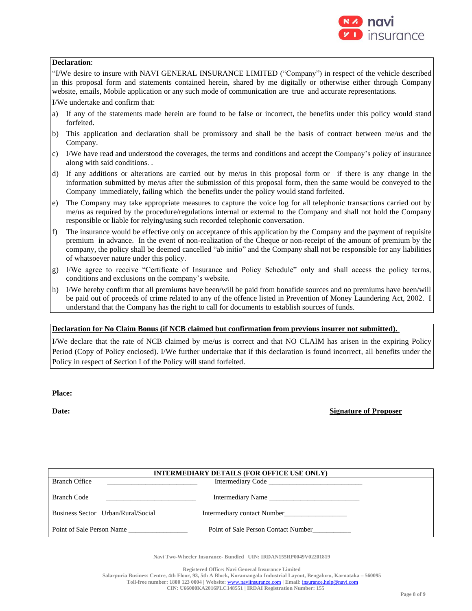

## **Declaration**:

"I/We desire to insure with NAVI GENERAL INSURANCE LIMITED ("Company") in respect of the vehicle described in this proposal form and statements contained herein, shared by me digitally or otherwise either through Company website, emails, Mobile application or any such mode of communication are true and accurate representations.

I/We undertake and confirm that:

- a) If any of the statements made herein are found to be false or incorrect, the benefits under this policy would stand forfeited.
- b) This application and declaration shall be promissory and shall be the basis of contract between me/us and the Company.
- c) I/We have read and understood the coverages, the terms and conditions and accept the Company's policy of insurance along with said conditions. .
- d) If any additions or alterations are carried out by me/us in this proposal form or if there is any change in the information submitted by me/us after the submission of this proposal form, then the same would be conveyed to the Company immediately, failing which the benefits under the policy would stand forfeited.
- e) The Company may take appropriate measures to capture the voice log for all telephonic transactions carried out by me/us as required by the procedure/regulations internal or external to the Company and shall not hold the Company responsible or liable for relying/using such recorded telephonic conversation.
- f) The insurance would be effective only on acceptance of this application by the Company and the payment of requisite premium in advance. In the event of non-realization of the Cheque or non-receipt of the amount of premium by the company, the policy shall be deemed cancelled "ab initio" and the Company shall not be responsible for any liabilities of whatsoever nature under this policy.
- g) I/We agree to receive "Certificate of Insurance and Policy Schedule" only and shall access the policy terms, conditions and exclusions on the company's website.
- h) I/We hereby confirm that all premiums have been/will be paid from bonafide sources and no premiums have been/will be paid out of proceeds of crime related to any of the offence listed in Prevention of Money Laundering Act, 2002. I understand that the Company has the right to call for documents to establish sources of funds.

## **Declaration for No Claim Bonus (if NCB claimed but confirmation from previous insurer not submitted).**

I/We declare that the rate of NCB claimed by me/us is correct and that NO CLAIM has arisen in the expiring Policy Period (Copy of Policy enclosed). I/We further undertake that if this declaration is found incorrect, all benefits under the Policy in respect of Section I of the Policy will stand forfeited.

**Place:**

**Date: Signature of Proposer**

| <b>INTERMEDIARY DETAILS (FOR OFFICE USE ONLY)</b>                                                |                                     |  |  |
|--------------------------------------------------------------------------------------------------|-------------------------------------|--|--|
| <b>Branch Office</b>                                                                             |                                     |  |  |
| <b>Branch Code</b><br>the control of the control of the control of the control of the control of | Intermediary Name                   |  |  |
| Business Sector Urban/Rural/Social                                                               | Intermediary contact Number         |  |  |
| Point of Sale Person Name                                                                        | Point of Sale Person Contact Number |  |  |

**Navi Two-Wheeler Insurance- Bundled | UIN: IRDAN155RP0049V02201819**

**Registered Office: Navi General Insurance Limited**

**Salarpuria Business Centre, 4th Floor, 93, 5th A Block, Koramangala Industrial Layout, Bengaluru, Karnataka – 560095 Toll-free number: 1800 123 0004 | Website:** [www.naviinsurance.com](http://www.naviinsurance.com/) **| Email:** [insurance.help@navi.com](mailto:insurance.help@navi.com)